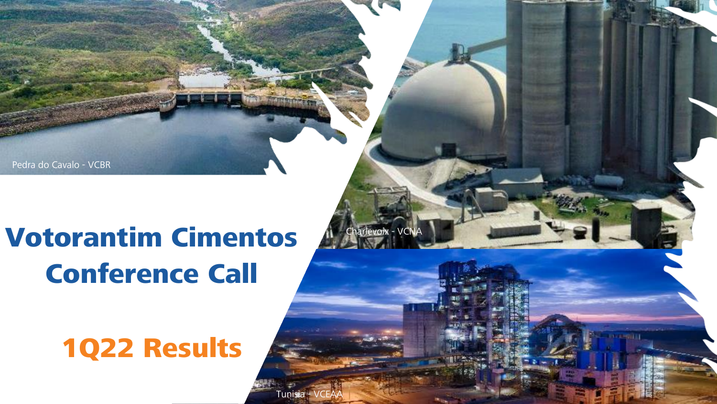Pedra do Cavalo - VCBR Pedra do Cavalo - VCBR

# Votorantim Cimentos Conference Call

1Q22 Results

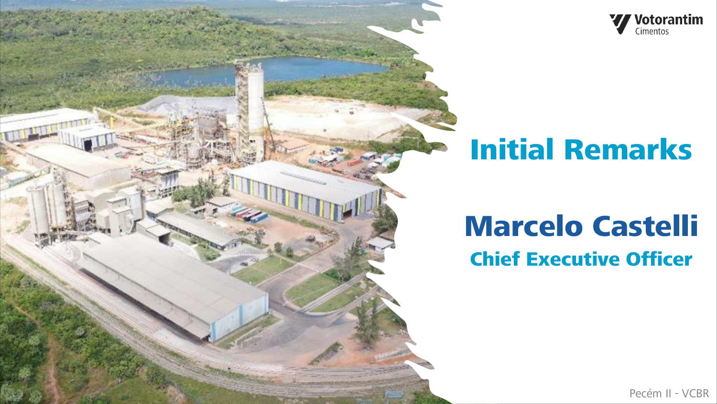



# Initial Remarks

## Marcelo Castelli Chief Executive Officer

Pecém II - VCBR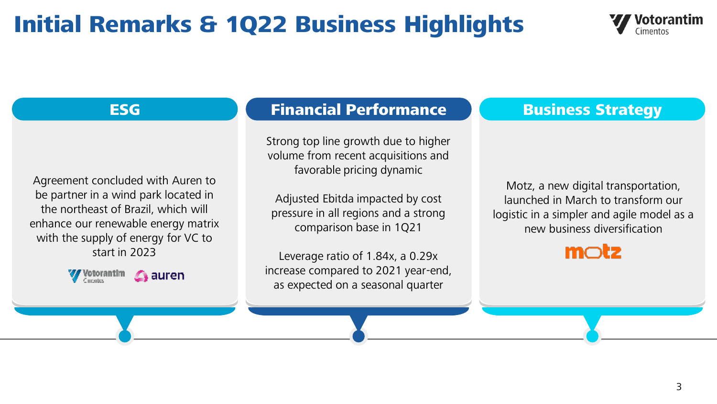## Initial Remarks & 1Q22 Business Highlights



Agreement concluded with Auren to be partner in a wind park located in the northeast of Brazil, which will enhance our renewable energy matrix with the supply of energy for VC to start in 2023



#### ESG Business Strategy

Strong top line growth due to higher volume from recent acquisitions and favorable pricing dynamic

Adjusted Ebitda impacted by cost pressure in all regions and a strong comparison base in 1Q21

Leverage ratio of 1.84x, a 0.29x increase compared to 2021 year-end, as expected on a seasonal quarter

Motz, a new digital transportation, launched in March to transform our logistic in a simpler and agile model as a new business diversification

### $m$ ctz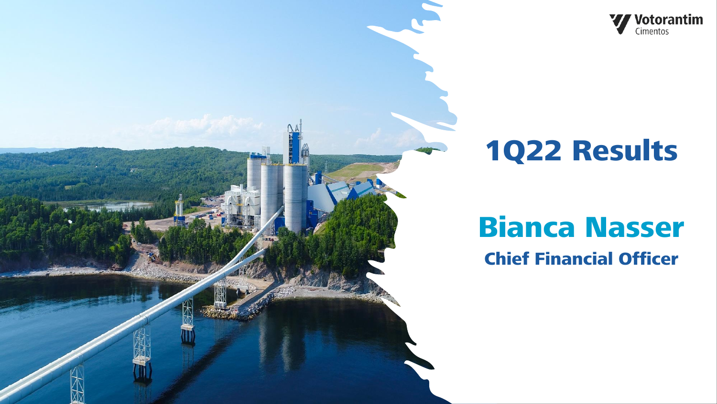

# 1Q22 Results

# Bianca Nasser

Chief Financial Officer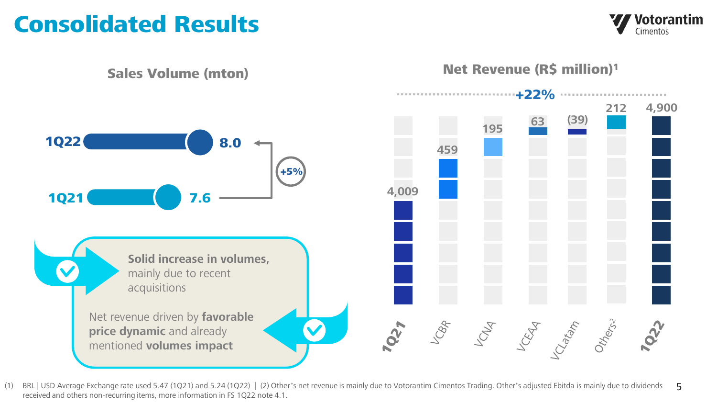## Consolidated Results

Votorantim Cimentos



(1) BRL | USD Average Exchange rate used 5.47 (1Q21) and 5.24 (1Q22) | (2) Other's net revenue is mainly due to Votorantim Cimentos Trading. Other's adjusted Ebitda is mainly due to dividends received and others non-recurring items, more information in FS 1Q22 note 4.1. 5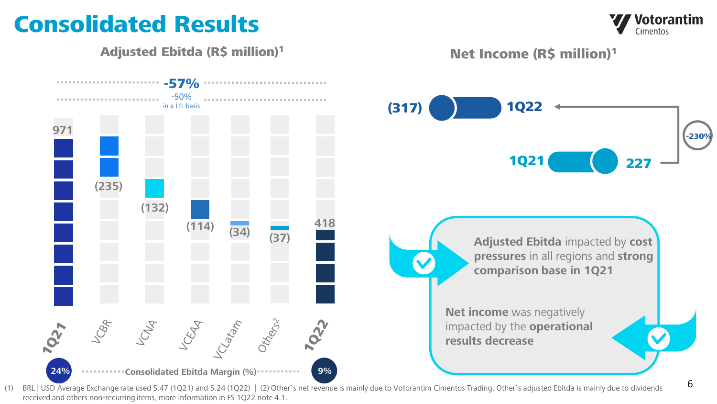## Consolidated Results

Adjusted Ebitda (R\$ million) 1



Net Income (R\$ million)<sup>1</sup>



(1) BRL | USD Average Exchange rate used 5.47 (1Q21) and 5.24 (1Q22) | (2) Other's net revenue is mainly due to Votorantim Cimentos Trading. Other's adjusted Ebitda is mainly due to dividends received and others non-recurring items, more information in FS 1Q22 note 4.1.

Votorantim Cimentos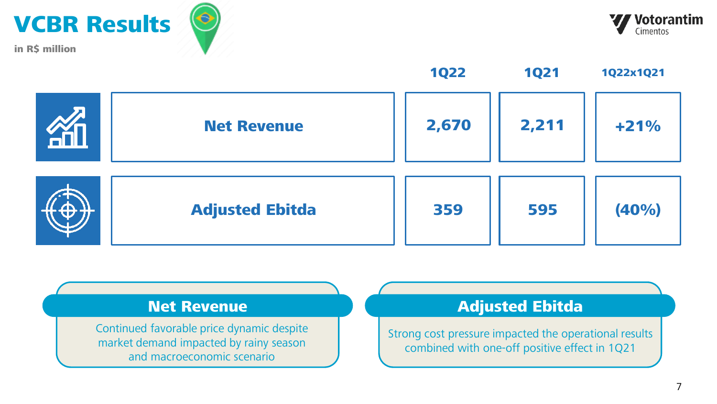





Continued favorable price dynamic despite market demand impacted by rainy season and macroeconomic scenario

### Net Revenue **Adjusted Ebitda**

Strong cost pressure impacted the operational results combined with one-off positive effect in 1Q21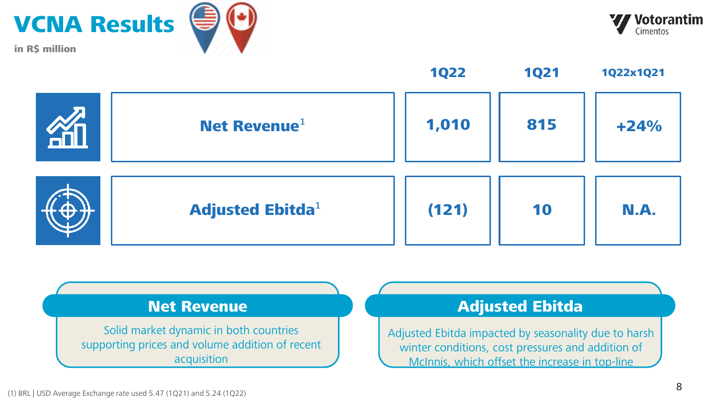





Solid market dynamic in both countries supporting prices and volume addition of recent acquisition

#### Net Revenue **Adjusted Ebitda**

Adjusted Ebitda impacted by seasonality due to harsh winter conditions, cost pressures and addition of McInnis, which offset the increase in top-line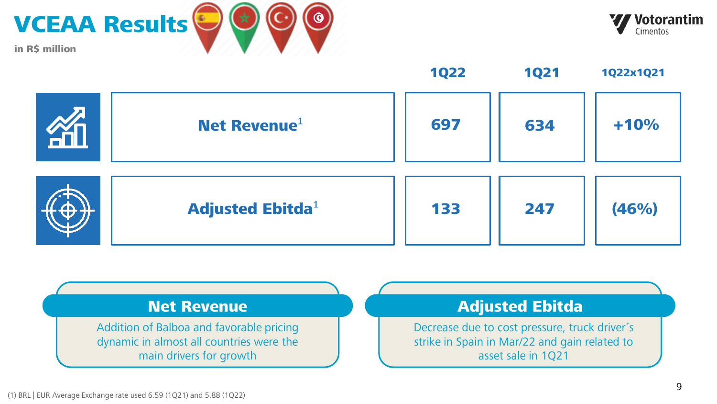



697 | 634 | +10% 133 247 (46%) Net Revenue $1$ Adjusted Ebitda $<sup>1</sup>$ </sup> 1Q22 1Q21 1Q22x1Q21

Addition of Balboa and favorable pricing dynamic in almost all countries were the main drivers for growth

### Net Revenue **Adjusted Ebitda**

Decrease due to cost pressure, truck driver´s strike in Spain in Mar/22 and gain related to asset sale in 1Q21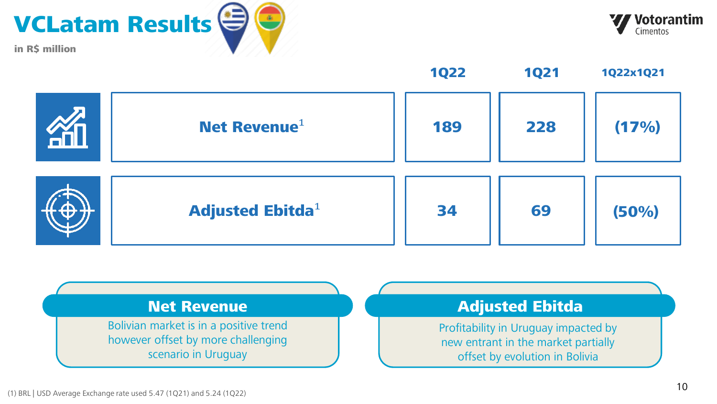





189 228 (17%) 34 69 (50%) Net Revenue $1$ Adjusted Ebitda $1$ 1Q22 1Q21 1Q22x1Q21

#### Net Revenue **Adjusted Ebitda** Bolivian market is in a positive trend however offset by more challenging scenario in Uruguay Profitability in Uruguay impacted by new entrant in the market partially offset by evolution in Bolivia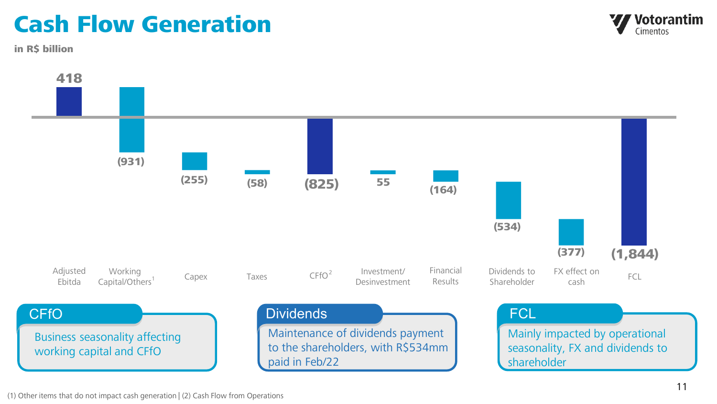## Cash Flow Generation

in R\$ billion



(1) Other items that do not impact cash generation | (2) Cash Flow from Operations

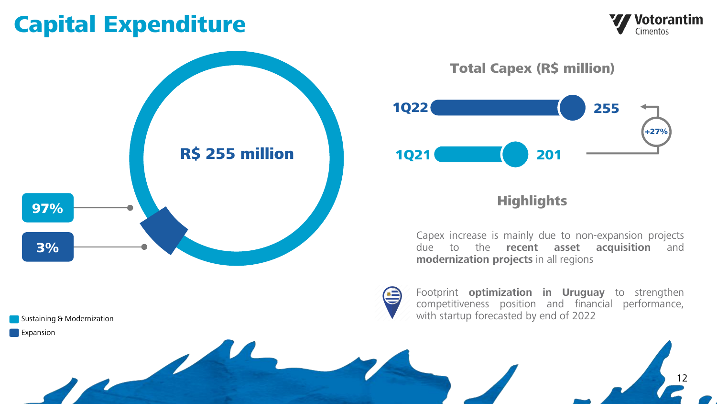## Capital Expenditure

Sustaining & Modernization





Total Capex (R\$ million)



### **Highlights**

Capex increase is mainly due to non-expansion projects due to the **recent asset acquisition** and **modernization projects** in all regions



Footprint **optimization in Uruguay** to strengthen competitiveness position and financial performance, with startup forecasted by end of 2022

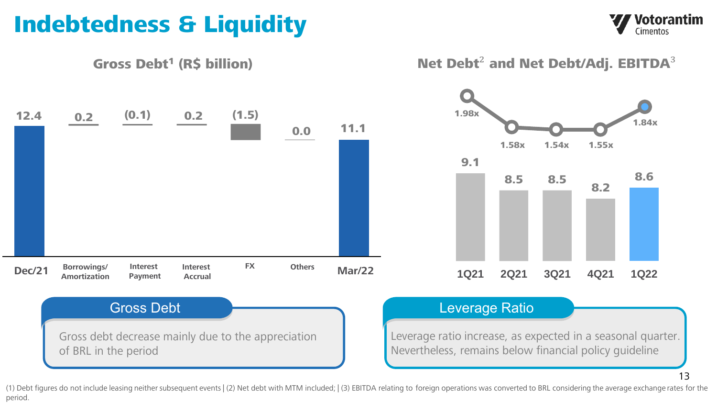## Indebtedness & Liquidity

Votorantim Cimentos



(1) Debt figures do not include leasing neither subsequent events | (2) Net debt with MTM included; | (3) EBITDA relating to foreign operations was converted to BRL considering the average exchange rates for the period.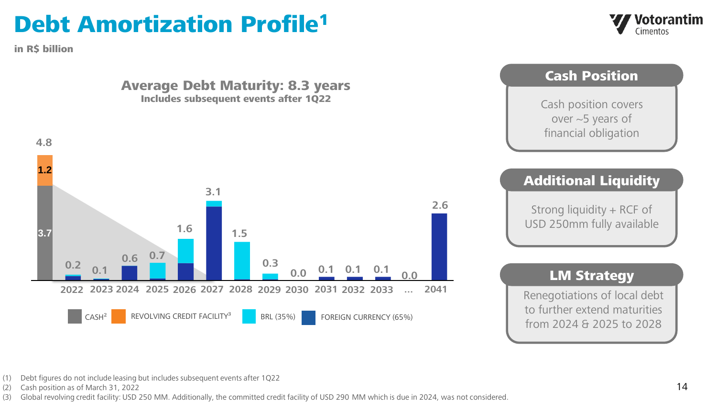## Debt Amortization Profile<sup>1</sup>

in R\$ billion





- (1) Debt figures do not include leasing but includes subsequent events after 1Q22
- (2) Cash position as of March 31, 2022

(3) Global revolving credit facility: USD 250 MM. Additionally, the committed credit facility of USD 290 MM which is due in 2024, was not considered.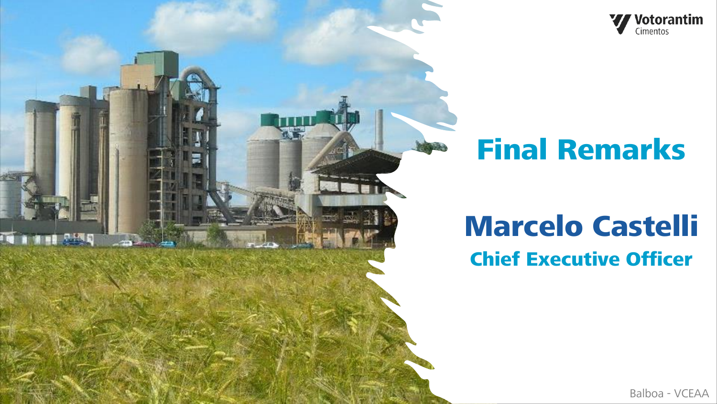

# Final Remarks

## Marcelo Castelli Chief Executive Officer

Balboa - VCEAA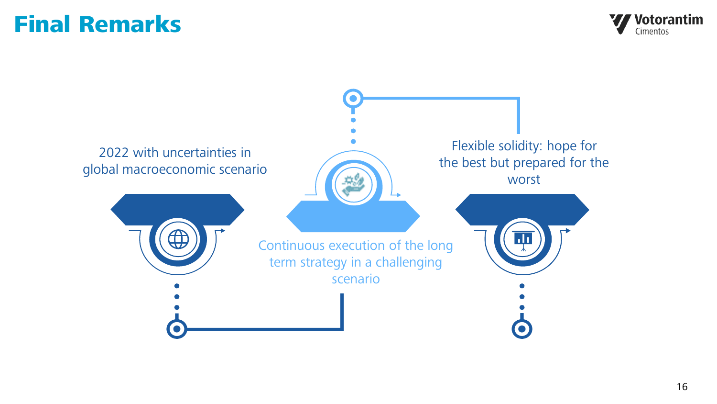## Final Remarks